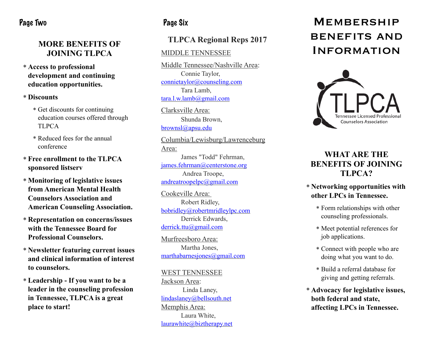# Page Two

## **MORE BENEFITS OF JOINING TLPCA**

\* **Access to professional development and continuing education opportunities.** 

#### \* **Discounts**

- \* Get discounts for continuing education courses offered through TLPCA
- \* Reduced fees for the annual conference
- \* **Free enrollment to the TLPCA sponsored listserv**
- \* **Monitoring of legislative issues from American Mental Health Counselors Association and American Counseling Association.**
- \* **Representation on concerns/issues with the Tennessee Board for Professional Counselors.**
- \* **Newsletter featuring current issues and clinical information of interest to counselors.**
- \* **Leadership If you want to be a leader in the counseling profession in Tennessee, TLPCA is a great place to start!**

# Page Six

# **TLPCA Regional Reps 2017**

### MIDDLE TENNESSEE

Middle Tennessee/Nashville Area: Connie Taylor, [connietaylor@counseling.com](mailto:connietaylor@counseling.com) Tara Lamb, [tara.l.w.lamb@gmail.com](mailto:tara.l.w.lamb@gmail.com)

Clarksville Area: Shunda Brown, [brownsl@apsu.edu](mailto:brownsl@apsu.edu)

Columbia/Lewisburg/Lawrenceburg Area: James "Todd" Fehrman,

[james.fehrman@centerstone.org](mailto:james.fehrman@centerstone.org) Andrea Troope, [andreatroopelpc@gmail.com](mailto:andreatroopelpc@gmail.com)

Cookeville Area: Robert Ridley, [bobridley@robertmridleylpc.com](mailto:bobridley@robertmridleylpc.com) Derrick Edwards, [derrick.ttu@gmail.com](mailto:derrick.ttu@gmail.com)

Murfreesboro Area: Martha Jones, marthabarnesiones@gmail.com

WEST TENNESSEE Jackson Area: Linda Laney, [lindaslaney@bellsouth.net](mailto:lindaslaney@bellsouth.net) Memphis Area: Laura White, [laurawhite@biztherapy.net](mailto:laurawhite@biztherapy.net)

# **MEMBERSHIP** benefits and **INFORMATION**



# **WHAT ARE THE BENEFITS OF JOINING TLPCA?**

### \* **Networking opportunities with other LPCs in Tennessee.**

- \* Form relationships with other counseling professionals.
- \* Meet potential references for job applications.
- \* Connect with people who are doing what you want to do.
- \* Build a referral database for giving and getting referrals.
- \* **Advocacy for legislative issues, both federal and state, affecting LPCs in Tennessee.**